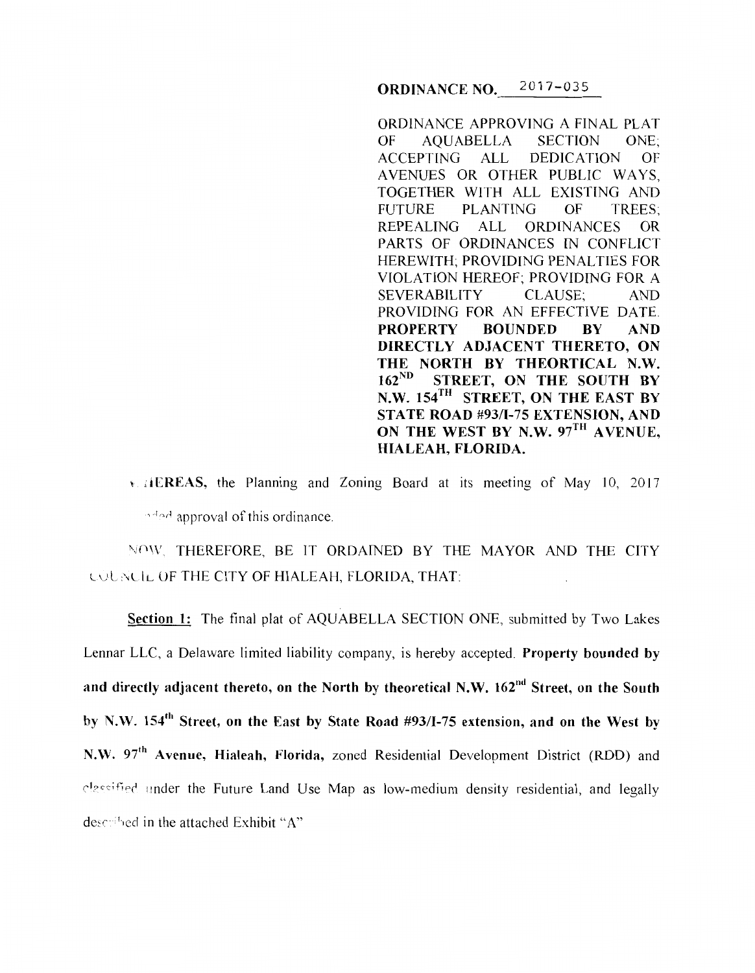ORDINANCE NO. 2017-035

ORDINANCE APPROVING A FINAL PLAT OF AQUABELLA SECTION ONE; ACCEPTING ALL DEDICATION OF A VENUES OR OTHER PUBLIC WAYS, TOGETHER WITH ALL EXISTING AND FUTURE PLANTING OF TREES; REPEALING ALL ORDINANCES OR PARTS OF ORDINANCES IN CONFLICT HEREWITH; PROVIDING PENALTIES FOR VIOLATION HEREOF; PROVIDING FOR A SEVERABILITY CLAUSE; AND PROVIDING FOR AN EFFECTIVE DATE. PROPERTY BOUNDED BY AND DIRECTLY ADJACENT THERETO, ON THE NORTH BY THEORTICAL N.W. 162<sup>ND</sup> STREET, ON THE SOUTH BY N.W. 154TH STREET, ON THE EAST BY STATE ROAD #93/I-75 EXTENSION, AND ON THE WEST BY N.W. 97<sup>TH</sup> AVENUE, HIALEAH, FLORIDA.

 $\overline{v}$ ,  $\overline{A}$  EREAS, the Planning and Zoning Board at its meeting of May 10, 2017 nded approval of this ordinance.

NOW, THEREFORE, BE IT ORDAINED BY THE MAYOR AND THE CITY LOUNCIL OF THE CITY OF HIALEAH, FLORIDA, THAT:

Section 1: The final plat of AQUABELLA SECTION ONE, submitted by Two Lakes Lennar LLC, a Delaware limited liability company, is hereby accepted. Property bounded by and directly adjacent thereto, on the North by theoretical N.W.  $162<sup>nd</sup>$  Street, on the South by N.W. 154<sup>th</sup> Street, on the East by State Road #93/I-75 extension, and on the West by N.W. 97<sup>th</sup> Avenue, Hialeah, Florida, zoned Residential Development District (RDD) and classified under the Future Land Use Map as low-medium density residential, and legally described in the attached Exhibit "A"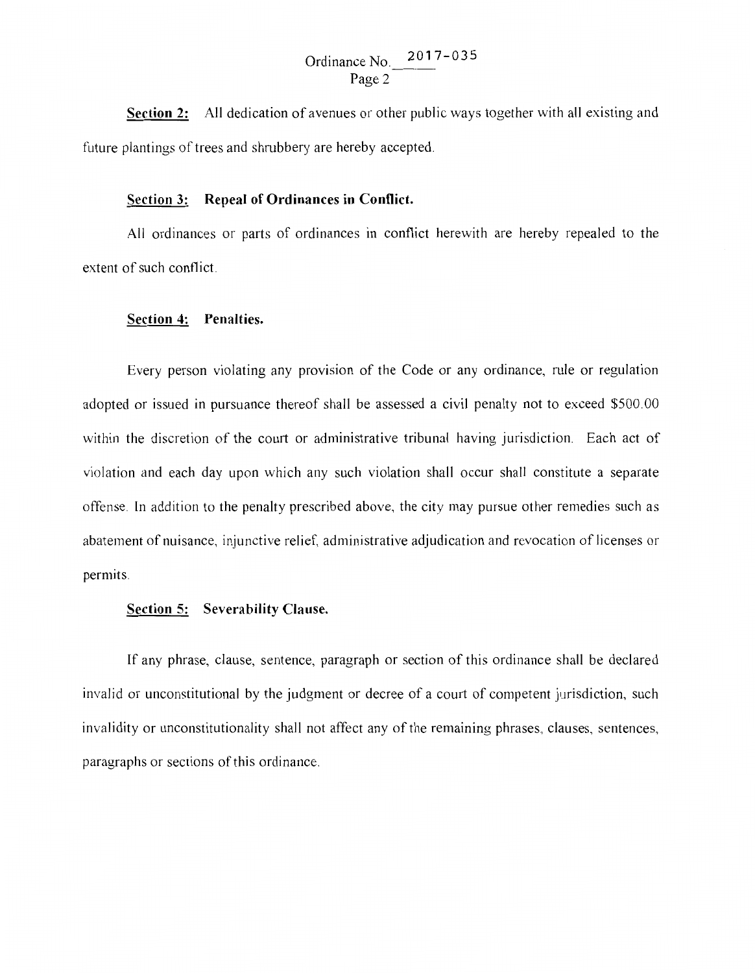Ordinance No.  $2017 - 035$ Page 2

**Section** 2: All dedication of avenues or other public ways together with all existing and future plantings of trees and shrubbery are hereby accepted.

## **Section 3: Repeal of Ordinances in Conflict.**

All ordinances or parts of ordinances in conflict herewith are hereby repealed to the extent of such conflict.

## **Section 4: Penalties.**

Every person violating any provision of the Code or any ordinance, rule or regulation adopted or issued in pursuance thereof shall be assessed a civil penalty not to exceed \$500.00 within the discretion of the court or administrative tribunal having jurisdiction. Each act of violation and each day upon which any such violation shall occur shall constitute a separate offense. In addition to the penalty prescribed above, the city may pursue other remedies such as abatement of nuisance, injunctive relief, administrative adjudication and revocation of licenses or permits.

## **Section 5: Severability Clause.**

If any phrase, clause, sentence, paragraph or section of this ordinance shall be declared invalid or unconstitutional by the judgment or decree of a court of competent jurisdiction, such invalidity or unconstitutionality shall not affect any of the remaining phrases, clauses, sentences, paragraphs or sections of this ordinance.